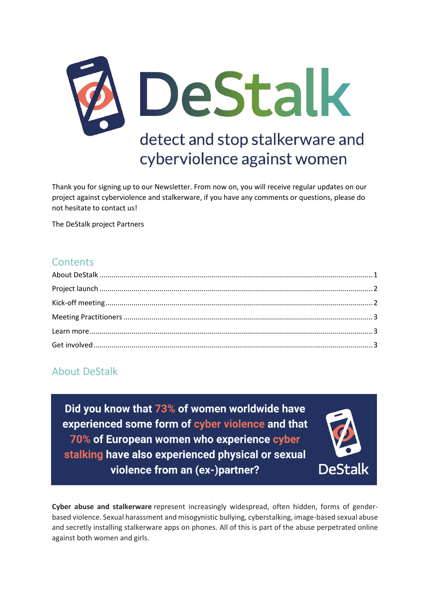

Thank you for signing up to our Newsletter. From now on, you will receive regular updates on our project against cyberviolence and stalkerware, if you have any comments or questions, please do not hesitate to contact us!

The DeStalk project Partners

#### **Contents**

# <span id="page-0-0"></span>About DeStalk

Did you know that 73% of women worldwide have experienced some form of cyber violence and that 70% of European women who experience cyber stalking have also experienced physical or sexual violence from an (ex-)partner?



**Cyber abuse and stalkerware** represent increasingly widespread, often hidden, forms of genderbased violence. Sexual harassment and misogynistic bullying, cyberstalking, image-based sexual abuse and secretly installing stalkerware apps on phones. All of this is part of the abuse perpetrated online against both women and girls.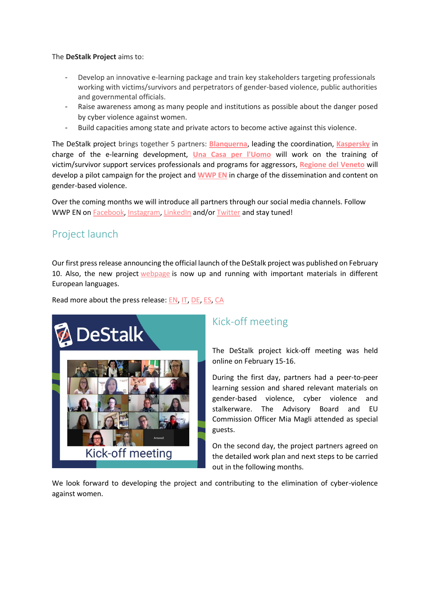The **DeStalk Project** aims to:

- Develop an innovative e-learning package and train key stakeholders targeting professionals working with victims/survivors and perpetrators of gender-based violence, public authorities and governmental officials.
- Raise awareness among as many people and institutions as possible about the danger posed by cyber violence against women.
- Build capacities among state and private actors to become active against this violence.

The DeStalk project brings together 5 partners: **[Blanquerna](https://www.blanquerna.edu/en)**, leading the coordination, **[Kaspersky](https://www.kaspersky.es/)** in charge of the e-learning development, **[Una Casa per l'Uomo](http://www.unacasaperluomo.it/)** will work on the training of victim/survivor support services professionals and programs for aggressors, **[Regione del Veneto](https://www.regione.veneto.it/)** will develop a pilot campaign for the project and **[WWP EN](https://www.work-with-perpetrators.eu/)** in charge of the dissemination and content on gender-based violence.

Over the coming months we will introduce all partners through our social media channels. Follow WWP EN on [Facebook,](https://www.facebook.com/WwpEuropeanNetwork) [Instagram,](https://www.instagram.com/european_network_wwp/?hl=en) [LinkedIn](https://de.linkedin.com/company/work-with-perpetrators-european-network) and/or [Twitter](https://twitter.com/wwp_en) and stay tuned!

## <span id="page-1-0"></span>Project launch

Our first press release announcing the official launch of the DeStalk project was published on February 10. Also, the new project [webpage](https://www.work-with-perpetrators.eu/destalk) is now up and running with important materials in different European languages.

Read more about the press release: [EN,](https://www.work-with-perpetrators.eu/fileadmin/user_upload/DeStalk_Press_Release_09022021.pdf) [IT,](https://www.work-with-perpetrators.eu/fileadmin/user_upload/DeStalk_Press_Release_05022021_final_it_rev002.pdf) [DE,](https://www.work-with-perpetrators.eu/fileadmin/user_upload/DeStalk_Press_Release_GER_final.pdf) [ES,](https://www.work-with-perpetrators.eu/fileadmin/user_upload/DeStalk_Press_Release_Espanol.pdf) [CA](https://www.work-with-perpetrators.eu/fileadmin/user_upload/DeStalk_Press_Release_Catalan.pdf)



# <span id="page-1-1"></span>Kick-off meeting

The DeStalk project kick-off meeting was held online on February 15-16.

During the first day, partners had a peer-to-peer learning session and shared relevant materials on gender-based violence, cyber violence and stalkerware. The Advisory Board and EU Commission Officer Mia Magli attended as special guests.

On the second day, the project partners agreed on the detailed work plan and next steps to be carried out in the following months.

We look forward to developing the project and contributing to the elimination of cyber-violence against women.